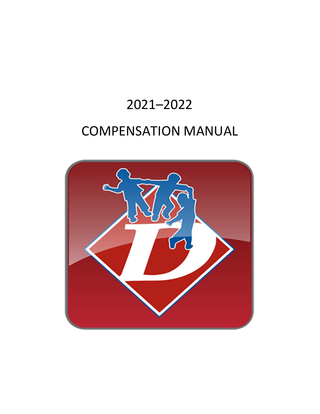# 2021–2022

# COMPENSATION MANUAL

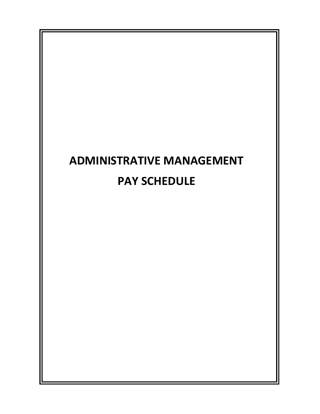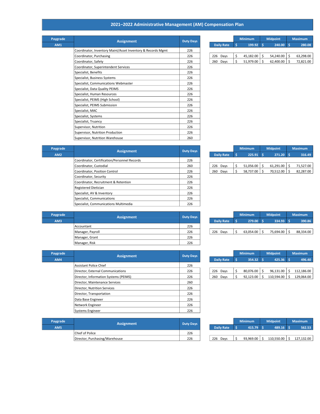## 2021–2022 Administrative Management (AM) Compensation Plan

| Paygrade   | <b>Assignment</b>                                           | <b>Duty Days</b> |  |                   |    | <b>Minimum</b> |    | <b>Midpoint</b> |     | <b>Maximum</b> |
|------------|-------------------------------------------------------------|------------------|--|-------------------|----|----------------|----|-----------------|-----|----------------|
| <b>AM1</b> |                                                             |                  |  | <b>Daily Rate</b> | Ś  | 199.92         | Ŝ. | 240.00          | Ŝ.  | 280.08         |
|            | Coordinator, Inventory Maint/Asset Inventory & Records Mgmt | 226              |  |                   |    |                |    |                 |     |                |
|            | Coordinator, Purchasing                                     | 226              |  | 226 Days          | \$ | 45,182.00      | Ŝ. | 54,240.00       | \$  | 63,298.00      |
|            | Coordinator, Safety                                         | 226              |  | 260 Days          | Ś. | $51,979.00$ \$ |    | 62,400.00       | - Ś | 72,821.00      |
|            | Coordinator, Superintendent Services                        | 226              |  |                   |    |                |    |                 |     |                |
|            | Specialist, Benefits                                        | 226              |  |                   |    |                |    |                 |     |                |
|            | Specialist, Business Systems                                | 226              |  |                   |    |                |    |                 |     |                |
|            | Specialist, Communications Webmaster                        | 226              |  |                   |    |                |    |                 |     |                |
|            | Specialist, Data Quality PEIMS                              | 226              |  |                   |    |                |    |                 |     |                |
|            | Specialist, Human Resources                                 | 226              |  |                   |    |                |    |                 |     |                |
|            | Specialist, PEIMS (High School)                             | 226              |  |                   |    |                |    |                 |     |                |
|            | Specialist, PEIMS Submission                                | 226              |  |                   |    |                |    |                 |     |                |
|            | Specialist, MAC                                             | 226              |  |                   |    |                |    |                 |     |                |
|            | Specialist, Systems                                         | 226              |  |                   |    |                |    |                 |     |                |
|            | Specialist, Truancy                                         | 226              |  |                   |    |                |    |                 |     |                |
|            | Supervisor, Nutrition                                       | 226              |  |                   |    |                |    |                 |     |                |
|            | Supervisor, Nutrition Production                            | 226              |  |                   |    |                |    |                 |     |                |
|            | Supervisor, Nutrition Warehouse                             | 260              |  |                   |    |                |    |                 |     |                |

|                   | <b>Minimum</b> | <b>Midpoint</b> | <b>Maximum</b> |           |  |  |
|-------------------|----------------|-----------------|----------------|-----------|--|--|
| <b>Daily Rate</b> | 199.92         | 240.00          |                | 280.08    |  |  |
|                   |                |                 |                |           |  |  |
| Days<br>226       | 45,182.00      | 54,240.00       |                | 63,298.00 |  |  |
| 260<br>Davs       | 51,979.00      | 62.400.00       | Ś              | 72,821.00 |  |  |

| Paygrade | <b>Assignment</b>                            | <b>Duty Days</b> |                   | <b>Minimum</b> |           | <b>Midpoint</b> |             | <b>Maximum</b> |
|----------|----------------------------------------------|------------------|-------------------|----------------|-----------|-----------------|-------------|----------------|
| AM2      |                                              |                  | <b>Daily Rate</b> |                | 225.91    |                 | $271.20$ \$ | 316.49         |
|          | Coordinator, Certification/Personnel Records | 226              |                   |                |           |                 |             |                |
|          | Coordinator, Custodial                       | 260              | 226 Days          |                | 51,056.00 |                 | 61,291.00   | 71,527.00      |
|          | Coordinator, Position Control                | 226              | 260 Days          |                | 58,737.00 | S               | 70,512.00   | 82,287.00      |
|          | Coordinator, Security                        | 226              |                   |                |           |                 |             |                |
|          | Coordinator, Recruitment & Retention         | 226              |                   |                |           |                 |             |                |
|          | <b>Registered Dietician</b>                  | 226              |                   |                |           |                 |             |                |
|          | Specialist, AV & Inventory                   | 226              |                   |                |           |                 |             |                |
|          | Specialist, Communications                   | 226              |                   |                |           |                 |             |                |
|          | Specialist, Communications Multimedia        | 226              |                   |                |           |                 |             |                |

|                   | <b>Minimum</b> | <b>Midpoint</b> | <b>Maximum</b> |           |  |  |
|-------------------|----------------|-----------------|----------------|-----------|--|--|
| <b>Daily Rate</b> | 225.91         | 271.20          |                | 316.49    |  |  |
|                   |                |                 |                |           |  |  |
| 226<br>Days       | 51,056.00      | 61,291.00       |                | 71,527.00 |  |  |
| 260<br>Davs       | 58,737.00      | 70.512.00       |                | 82,287.00 |  |  |

| Paygrade | <b>Assignment</b> | <b>Duty Days</b> |                   | <b>Minimum</b> |  | <b>Midpoint</b> | <b>Maximum</b> |           |
|----------|-------------------|------------------|-------------------|----------------|--|-----------------|----------------|-----------|
| AM3      |                   |                  | <b>Daily Rate</b> | $279.00$ \$    |  | $334.93$ \$     |                | 390.86    |
|          | Accountant        | 226              |                   |                |  |                 |                |           |
|          | Manager, Payroll  | 226              | 226 Days          | 63,054.00      |  | 75,694.00 \$    |                | 88,334.00 |
|          | Manager, Grant    | 226              |                   |                |  |                 |                |           |
|          | Manager, Risk     | 226              |                   |                |  |                 |                |           |

F

| Paygrade | <b>Assignment</b>                     | <b>Duty Days</b> |          |                   |  | <b>Minimum</b> | <b>Midpoint</b> |             | <b>Maximum</b> |            |
|----------|---------------------------------------|------------------|----------|-------------------|--|----------------|-----------------|-------------|----------------|------------|
| AM4      |                                       |                  |          | <b>Daily Rate</b> |  | 354.32         |                 | $425.36$ \$ |                | 496.40     |
|          | Assistant Police Chief                | 226              |          |                   |  |                |                 |             |                |            |
|          | Director, External Communications     | 226              | 226 Days |                   |  | 80.076.00      |                 | 96.131.00   | S              | 112.186.00 |
|          | Director, Information Systems (PEIMS) | 226              | 260 Days |                   |  | 92,123.00      |                 | 110,594.00  |                | 129,064.00 |
|          | Director, Maintenance Services        | 260              |          |                   |  |                |                 |             |                |            |
|          | Director. Nutrition Services          | 226              |          |                   |  |                |                 |             |                |            |
|          | Director, Transportation              | 226              |          |                   |  |                |                 |             |                |            |
|          | Data Base Engineer                    | 226              |          |                   |  |                |                 |             |                |            |
|          | Network Engineer                      | 226              |          |                   |  |                |                 |             |                |            |
|          | Systems Engineer                      | 226              |          |                   |  |                |                 |             |                |            |

| Paygrade | <b>Assignment</b>              | Duty Days |                   | <b>Minimum</b> |           | <b>Midpoint</b> |            | <b>Maximum</b> |            |
|----------|--------------------------------|-----------|-------------------|----------------|-----------|-----------------|------------|----------------|------------|
| AM5      |                                |           | <b>Daily Rate</b> |                | 415.79    |                 | 489.16     |                | 562.53     |
|          | <b>Chief of Police</b>         | 226       |                   |                |           |                 |            |                |            |
|          | Director, Purchasing/Warehouse | 226       | 226<br>Davs       |                | 93.969.00 |                 | 110.550.00 |                | 127.132.00 |

|                   | <b>Minimum</b> | <b>Midpoint</b> | <b>Maximum</b> |           |  |  |
|-------------------|----------------|-----------------|----------------|-----------|--|--|
| <b>Daily Rate</b> | 279.00         | 334.93          |                | 390.86    |  |  |
|                   |                |                 |                |           |  |  |
| 226<br>Days       | 63,054.00      | 75,694.00       |                | 88,334.00 |  |  |
|                   |                |                 |                |           |  |  |

|                   | <b>Minimum</b> | <b>Midpoint</b> | <b>Maximum</b> |
|-------------------|----------------|-----------------|----------------|
| <b>Daily Rate</b> | 354.32         | 425.36          | 496.40         |
|                   |                |                 |                |
| 226<br>Davs       | 80,076.00      | 96.131.00       | 112,186.00     |
| 260<br>Davs       | 92.123.00      | 110.594.00      | 129,064.00     |

|                   | <b>Minimum</b> | <b>Midpoint</b> | <b>Maximum</b> |  |  |  |
|-------------------|----------------|-----------------|----------------|--|--|--|
| <b>Daily Rate</b> | 415.79         | 489.16          | 562.53         |  |  |  |
|                   |                |                 |                |  |  |  |
| 226<br>Davs       | 93.969.00      | 110,550.00      | 127.132.00     |  |  |  |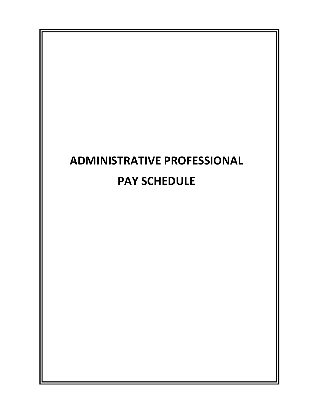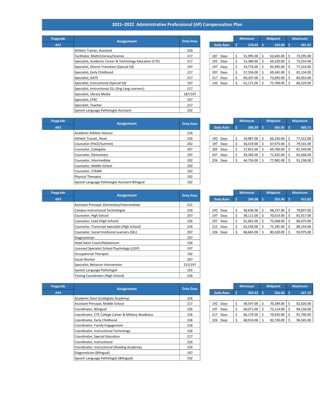## 2021–2022 Administrative Professional (AP) Compensation Plan

| ygrade | <b>Assignment</b>                                        | <b>Duty Days</b> |     |                   | <b>Minimum</b> |   | <b>Midpoint</b> | <b>Maximum</b> |           |
|--------|----------------------------------------------------------|------------------|-----|-------------------|----------------|---|-----------------|----------------|-----------|
| AP1    |                                                          |                  |     | <b>Daily Rate</b> | 278.05         |   | 335.00          |                | 391.95    |
|        | Athletic Trainer, Assistant                              | 220              |     |                   |                |   |                 |                |           |
|        | Facilitator, Math/Literacy/Science                       | 217              |     | 187 Days          | 51,995.00      | Ŝ | 62,645.00       | -S             | 73,295.00 |
|        | Specialist, Academic Career & Technology Education (CTE) | 217              |     | 192 Days          | 53,386.00      |   | 64,320.00       |                | 75,254.00 |
|        | Specialist, District Transition (Special Ed)             | 197              |     | 197 Days          | 54,776.00      | Ŝ | 65,995.00       | s              | 77,214.00 |
|        | Specialist, Early Childhood                              | 217              | 207 | Days              | 57,556.00      | Ŝ | 69,345.00       | S              | 81,134.00 |
|        | Specialist, GATE                                         | 217              |     | 217 Days          | 60,337.00      |   | 72,695.00       |                | 85,053.00 |
|        | Specialist, Instructional (Special Ed)                   | 197              |     | 220 Days          | 61,171.00      | S | 73,700.00       |                | 86,229.00 |
|        | Specialist, Instructional ELL (Eng Lang Learners)        | 217              |     |                   |                |   |                 |                |           |
|        | Specialist, Library Media                                | 187/197          |     |                   |                |   |                 |                |           |
|        | Specialist, LPAC                                         | 207              |     |                   |                |   |                 |                |           |
|        | Specialist, Teacher                                      | 217              |     |                   |                |   |                 |                |           |
|        | Speech Language Pathologist Assistant                    | 192              |     |                   |                |   |                 |                |           |
|        |                                                          |                  |     |                   |                |   |                 |                |           |

| Paygrade | <b>Assignment</b>                                        | <b>Duty Days</b> |  |                   |  | <b>Minimum</b> |    | <b>Midpoint</b> |  | <b>Maximum</b> |
|----------|----------------------------------------------------------|------------------|--|-------------------|--|----------------|----|-----------------|--|----------------|
| AP1      |                                                          |                  |  | <b>Daily Rate</b> |  | 278.05         |    | $335.00$ \$     |  | 391.95         |
|          | Athletic Trainer, Assistant                              | 220              |  |                   |  |                |    |                 |  |                |
|          | Facilitator, Math/Literacy/Science                       | 217              |  | 187<br>Davs       |  | 51,995.00      |    | 62.645.00       |  | 73,295.00      |
|          | Specialist, Academic Career & Technology Education (CTE) | 217              |  | 192<br>Days       |  | 53,386.00      |    | 64,320.00       |  | 75,254.00      |
|          | Specialist, District Transition (Special Ed)             | 197              |  | 197<br>Days       |  | 54,776.00      |    | 65,995.00       |  | 77,214.00      |
|          | Specialist, Early Childhood                              | 217              |  | 207<br>Days       |  | 57,556.00      |    | 69.345.00       |  | 81,134.00      |
|          | Specialist, GATE                                         | 217              |  | 217<br>Davs       |  | 60.337.00      |    | 72.695.00       |  | 85,053.00      |
|          | Specialist, Instructional (Special Ed)                   | 197              |  | 220 Days          |  | 61,171.00      | -S | 73.700.00       |  | 86,229.00      |
|          |                                                          |                  |  |                   |  |                |    |                 |  |                |

| Paygrade        | <b>Assignment</b>                               | <b>Duty Days</b> |     |                   | <b>Minimum</b> |           |    | <b>Midpoint</b> |    | <b>Maximum</b> |
|-----------------|-------------------------------------------------|------------------|-----|-------------------|----------------|-----------|----|-----------------|----|----------------|
| AP <sub>2</sub> |                                                 |                  |     | <b>Daily Rate</b> | s              | 286.39    | -S | $345.05$ \$     |    | 403.71         |
|                 | Academic Athletic Advisor                       | 226              |     |                   |                |           |    |                 |    |                |
|                 | Athletic Trainer, Head                          | 226              |     | 192 Days          |                | 54.987.00 | Ŝ. | 66,250.00       | -S | 77,512.00      |
|                 | Counselor (PACE/Summit)                         | 202              | 197 | Days              |                | 56,419.00 | Ś. | 67,975.00       | Ŝ  | 79,531.00      |
|                 | Counselor, Collegiate                           | 207              |     | 202 Days          |                | 57,851.00 | Ŝ  | 69,700.00       | Ŝ  | 81,549.00      |
|                 | Counselor, Elementary                           | 197              | 207 | Days              |                | 59,283.00 | S  | 71.425.00       | Ŝ  | 83.568.00      |
|                 | Counselor, Intermediate                         | 202              |     | 226 Days          |                | 64.724.00 | -S | 77,981.00       | -Ŝ | 91,238.00      |
|                 | Counselor. Middle School                        | 202              |     |                   |                |           |    |                 |    |                |
|                 | Counselor, STEAM                                | 202              |     |                   |                |           |    |                 |    |                |
|                 | Physical Therapist                              | 192              |     |                   |                |           |    |                 |    |                |
|                 | Speech Language Pathologist Assistant Bilingual | 192              |     |                   |                |           |    |                 |    |                |

|     |                   |    | <b>Minimum</b> |    | <b>Midpoint</b> |    | <b>Maximum</b> |
|-----|-------------------|----|----------------|----|-----------------|----|----------------|
|     | <b>Daily Rate</b> | s  | 286.39         | \$ | 345.05          | 'S | 403.71         |
|     |                   |    |                |    |                 |    |                |
| 192 | Days              | \$ | 54,987.00      | \$ | 66,250.00       | \$ | 77,512.00      |
| 197 | Days              | \$ | 56,419.00      | \$ | 67,975.00       | \$ | 79,531.00      |
| 202 | Days              | \$ | 57,851.00      | \$ | 69,700.00       | \$ | 81,549.00      |
| 207 | Days              | \$ | 59,283.00      | \$ | 71,425.00       | \$ | 83,568.00      |
| 226 | Davs              |    | 64.724.00      | Ś  | 77.981.00       | Ś  | 91.238.00      |

| Paygrade | <b>Assignment</b>                              | <b>Duty Days</b> |          |                   |    | <b>Minimum</b> |          | <b>Midpoint</b>  |   | <b>Maximum</b> |
|----------|------------------------------------------------|------------------|----------|-------------------|----|----------------|----------|------------------|---|----------------|
| AP3      |                                                |                  |          | <b>Daily Rate</b> |    | 294.98         | <b>S</b> | 355.40           | s | 415.82         |
|          | Assistant Principal, Elementary/Intermediate   | 212              |          |                   |    |                |          |                  |   |                |
|          | Campus Instructional Technologist              | 226              | 192 Days |                   | \$ | 56,636.00      | S        | $68,237.00$ \$   |   | 79,837.00      |
|          | Counselor, High School                         | 207              | 197      | Days              | \$ | 58,111.00      | \$.      | $70,014.00$   \$ |   | 81,917.00      |
|          | Counselor, Lead (High School)                  | 226              | 207 Days |                   | \$ | 61,061.00      | s        | 73,568.00 \$     |   | 86,075.00      |
|          | Counselor, Transcript Specialist (High School) | 226              | 212 Days |                   | \$ | 62,536.00      | Ŝ        | 75,345.00 \$     |   | 88,154.00      |
|          | Counselor, Social Emotional Learners (SEL)     | 207              | 226 Days |                   | Ś. | 66,665.00      | Ŝ.       | $80,320.00$   \$ |   | 93,975.00      |
|          | Diagnostician                                  | 197              |          |                   |    |                |          |                  |   |                |
|          | Head Swim Coach/Natatorium                     | 226              |          |                   |    |                |          |                  |   |                |
|          | Licensed Specialist School Psychology (LSSP)   | 197              |          |                   |    |                |          |                  |   |                |
|          | Occupational Therapist                         | 192              |          |                   |    |                |          |                  |   |                |
|          | Social Worker                                  | 207              |          |                   |    |                |          |                  |   |                |
|          | Specialist, Behavior Intervention              | 212/197          |          |                   |    |                |          |                  |   |                |
|          | Speech Language Pathologist                    | 192              |          |                   |    |                |          |                  |   |                |
|          | <b>Testing Coordinator (High School)</b>       | 226              |          |                   |    |                |          |                  |   |                |

|                   |    | <b>Minimum</b> |    | <b>Midpoint</b> |    | <b>Maximum</b> |
|-------------------|----|----------------|----|-----------------|----|----------------|
| <b>Daily Rate</b> | 'S | 294.98         | \$ | 355.40          | Ś  | 415.82         |
|                   |    |                |    |                 |    |                |
| 192<br>Days       | \$ | 56,636.00      | \$ | 68,237.00       | \$ | 79,837.00      |
| 197<br>Days       | \$ | 58.111.00      | \$ | 70.014.00       | \$ | 81,917.00      |
| 207<br>Days       | \$ | 61,061.00      | \$ | 73,568.00       | \$ | 86,075.00      |
| 212<br>Days       | \$ | 62,536.00      | \$ | 75,345.00       | \$ | 88,154.00      |
| 226<br>Davs       | ς  | 66 665 00      | ς  | 80 320 00       | ς  | 93 975 00      |

| Paygrade | <b>Assignment</b>                                    | <b>Duty Days</b> |                   |   | <b>Minimum</b> |    | <b>Midpoint</b>  |    | <b>Maximum</b> |
|----------|------------------------------------------------------|------------------|-------------------|---|----------------|----|------------------|----|----------------|
| AP4      |                                                      |                  | <b>Daily Rate</b> | s | $304.93$ \$    |    | 366.06 \$        |    | 427.19         |
|          | Academic Dean (Collegiate Academy)                   | 226              |                   |   |                |    |                  |    |                |
|          | Assistant Principal, Middle School                   | 217              | 192 Days          |   | 58,547.00      | S  | 70,284.00        | Ŝ  | 82,020.00      |
|          | Coordinator, Bilingual                               | 226              | 197 Days          |   | 60,071.00      | s  | $72,114.00$   \$ |    | 84,156.00      |
|          | Coordinator, CTE College Career & Mititary Readiness | 226              | 217 Days          |   | 66.170.00      | S  | 79,435.00        |    | 92,700.00      |
|          | Coordinator, Early Childhood                         | 226              | 226 Days          |   | 68.914.00      | S. | 82,730.00        | -S | 96,545.00      |
|          | Coordinator, Family Engagement                       | 226              |                   |   |                |    |                  |    |                |
|          | Coordinator, Instructional Technology                | 226              |                   |   |                |    |                  |    |                |
|          | Coordinator, Special Education                       | 217              |                   |   |                |    |                  |    |                |
|          | Coordinator, Instructional                           | 226              |                   |   |                |    |                  |    |                |
|          | Coordinator, Instructional (Reading Academy)         | 226              |                   |   |                |    |                  |    |                |
|          | Diagnostician (Bilingual)                            | 197              |                   |   |                |    |                  |    |                |
|          | Speech Language Pathologist (Bilingual)              | 192              |                   |   |                |    |                  |    |                |

|                   |    | <b>Minimum</b> |    | <b>Midpoint</b> |    | <b>Maximum</b> |
|-------------------|----|----------------|----|-----------------|----|----------------|
| <b>Daily Rate</b> | S  | 304.93         | S  | 366.06          | S  | 427.19         |
|                   |    |                |    |                 |    |                |
| 192<br>Days       | \$ | 58,547.00      | \$ | 70.284.00       | \$ | 82,020.00      |
| 197<br>Days       | \$ | 60,071.00      | \$ | 72,114.00       | \$ | 84,156.00      |
| 217<br>Days       | \$ | 66.170.00      | \$ | 79,435.00       | \$ | 92,700.00      |
| 226<br>Davs       | Ś  | 68.914.00      | Ś  | 82,730.00       | Ś  | 96.545.00      |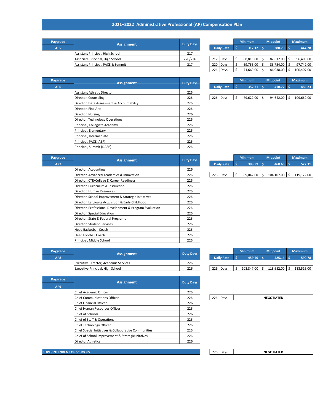## 2021–2022 Administrative Professional (AP) Compensation Plan

| Paygrade | <b>Assignment</b>                  | <b>Duty Days</b> |  |          |                   | <b>Minimum</b> |           | <b>Midpoint</b> |           | <b>Maximum</b> |
|----------|------------------------------------|------------------|--|----------|-------------------|----------------|-----------|-----------------|-----------|----------------|
| AP5      |                                    |                  |  |          | <b>Daily Rate</b> |                | 317.12    |                 | 380.70 \$ | 444.28         |
|          | Assistant Principal, High School   | 217              |  |          |                   |                |           |                 |           |                |
|          | Associate Principal, High School   | 220/226          |  | 217 Davs |                   |                | 68.815.00 |                 | 82.612.00 | 96.409.00      |
|          | Assistant Principal. PACE & Summit | 217              |  | 220 Days |                   |                | 69.766.00 |                 | 83.754.00 | 97.742.00      |
|          |                                    |                  |  |          |                   |                |           |                 |           |                |

|     |                   |     | <b>Minimum</b> |    | <b>Midpoint</b> | <b>Maximum</b> |            |  |  |  |
|-----|-------------------|-----|----------------|----|-----------------|----------------|------------|--|--|--|
|     | <b>Daily Rate</b> | '\$ | 317.12         | -S | 380.70          | S              | 444.28     |  |  |  |
|     |                   |     |                |    |                 |                |            |  |  |  |
| 217 | Davs              | \$  | 68,815.00      |    | 82,612.00       | Ś              | 96,409.00  |  |  |  |
| 220 | Days              | \$  | 69,766.00      | \$ | 83,754.00       | \$             | 97,742.00  |  |  |  |
| 226 | Davs              | Ś   | 71,669.00      |    | 86,038.00       |                | 100,407.00 |  |  |  |

| Paygrade        | <b>Assignment</b>                          | <b>Duty Days</b> |                   |  | <b>Minimum</b> |  | <b>Midpoint</b> | <b>Maximum</b> |            |
|-----------------|--------------------------------------------|------------------|-------------------|--|----------------|--|-----------------|----------------|------------|
| AP <sub>6</sub> |                                            |                  | <b>Daily Rate</b> |  | $352.31$ \$    |  | $418.77$ \$     |                | 485.23     |
|                 | Assistant Athletic Director                | 226              |                   |  |                |  |                 |                |            |
|                 | Director, Counseling                       | 226              | 226 Days          |  | 79,622.00 \$   |  | 94,642.00       |                | 109,662.00 |
|                 | Director, Data Assessment & Accountability | 226              |                   |  |                |  |                 |                |            |
|                 | Director, Fine Arts                        | 226              |                   |  |                |  |                 |                |            |
|                 | Director, Nursing                          | 226              |                   |  |                |  |                 |                |            |
|                 | Director, Technology Operations            | 226              |                   |  |                |  |                 |                |            |
|                 | Principal, Collegiate Academy              | 226              |                   |  |                |  |                 |                |            |
|                 | Principal, Elementary                      | 226              |                   |  |                |  |                 |                |            |
|                 | Principal, Intermediate                    | 226              |                   |  |                |  |                 |                |            |
|                 | Principal, PACE (AEP)                      | 226              |                   |  |                |  |                 |                |            |
|                 | Principal, Summit (DAEP)                   | 226              |                   |  |                |  |                 |                |            |

| <b>Daily Rate</b> | 352.31       | 418.77         | 485.23     |
|-------------------|--------------|----------------|------------|
|                   |              |                |            |
| 226 Days          | 79,622.00 \$ | $94,642.00$ \$ | 109,662.00 |
|                   |              |                |            |

| Paygrade | <b>Assignment</b>                                       | <b>Duty Days</b> |  |                   |    | <b>Minimum</b> |     | <b>Midpoint</b> |    | <b>Maximum</b> |
|----------|---------------------------------------------------------|------------------|--|-------------------|----|----------------|-----|-----------------|----|----------------|
| AP7      |                                                         |                  |  | <b>Daily Rate</b> | Ś  | 393.99         | -Ś. | 460.65          | S  | 527.31         |
|          | Director, Accounting                                    | 226              |  |                   |    |                |     |                 |    |                |
|          | Director, Advanced Academics & Innovation               | 226              |  | 226 Days          | Ś. | 89,042.00      | Ŝ.  | 104,107.00      | Ŝ. | 119,172.00     |
|          | Director, CTE/College & Career Readiness                | 226              |  |                   |    |                |     |                 |    |                |
|          | Director, Curriculum & Instruction                      | 226              |  |                   |    |                |     |                 |    |                |
|          | Director, Human Resources                               | 226              |  |                   |    |                |     |                 |    |                |
|          | Director, School Improvement & Strategic Initiatives    | 226              |  |                   |    |                |     |                 |    |                |
|          | Director, Language Acquisition & Early Childhood        | 226              |  |                   |    |                |     |                 |    |                |
|          | Director, Professional Development & Program Evaluation | 226              |  |                   |    |                |     |                 |    |                |
|          | Director, Special Education                             | 226              |  |                   |    |                |     |                 |    |                |
|          | Director, State & Federal Programs                      | 226              |  |                   |    |                |     |                 |    |                |
|          | Director, Student Services                              | 226              |  |                   |    |                |     |                 |    |                |
|          | Head Basketball Coach                                   | 226              |  |                   |    |                |     |                 |    |                |
|          | <b>Head Football Coach</b>                              | 226              |  |                   |    |                |     |                 |    |                |
|          | Principal, Middle School                                | 226              |  |                   |    |                |     |                 |    |                |

|                   | <b>Minimum</b> | <b>Midpoint</b>  |  | <b>Maximum</b> |
|-------------------|----------------|------------------|--|----------------|
| <b>Daily Rate</b> | 393.99         | 460.65           |  | 527.31         |
|                   |                |                  |  |                |
| 226 Days          | 89.042.00      | $104, 107.00$ \$ |  | 119,172.00     |
|                   |                |                  |  |                |

| Paygrade        | <b>Assignment</b>                            | <b>Duty Days</b> |                   | <b>Minimum</b> |            | <b>Midpoint</b> |            | <b>Maximum</b> |            |
|-----------------|----------------------------------------------|------------------|-------------------|----------------|------------|-----------------|------------|----------------|------------|
| AP <sub>8</sub> |                                              |                  | <b>Daily Rate</b> |                | 459.50     |                 | 525.14     |                | 590.78     |
|                 | <b>Executive Director, Academic Services</b> | 226              |                   |                |            |                 |            |                |            |
|                 | Executive Principal, High School             | 226              | 226<br>Davs       |                | 103.847.00 |                 | 118.682.00 |                | 133.516.00 |

| Paygrade                         |                                                       |                  |          |                   |
|----------------------------------|-------------------------------------------------------|------------------|----------|-------------------|
| AP <sub>9</sub>                  | <b>Assignment</b>                                     | <b>Duty Days</b> |          |                   |
|                                  | Chief Academic Officer                                | 226              |          |                   |
|                                  | <b>Chief Communications Officer</b>                   | 226              | 226 Days | <b>NEGOTIATED</b> |
|                                  | Chief Financial Officer                               | 226              |          |                   |
|                                  | Chief Human Resources Officer                         | 226              |          |                   |
|                                  | Chief of Schools                                      | 226              |          |                   |
|                                  | Chief of Staff & Operations                           | 226              |          |                   |
|                                  | Chief Technology Officer                              | 226              |          |                   |
|                                  | Chief Special Initiatives & Collaborative Communities | 226              |          |                   |
|                                  | Chief of School Improvement & Strategic Iniatives     | 226              |          |                   |
|                                  | <b>Director Athletics</b>                             | 226              |          |                   |
|                                  |                                                       |                  |          |                   |
| <b>SUPERINTENDENT OF SCHOOLS</b> |                                                       |                  | 226 Days | <b>NEGOTIATED</b> |

|     |      | \$                | 459.50     | \$<br>525.14     | \$                | 590.78     |
|-----|------|-------------------|------------|------------------|-------------------|------------|
|     |      |                   |            |                  |                   |            |
| 226 | Days | \$                | 103,847.00 | \$<br>118,682.00 | \$                | 133,516.00 |
|     |      |                   |            |                  |                   |            |
|     |      |                   |            |                  |                   |            |
|     |      |                   |            |                  |                   |            |
|     |      |                   |            |                  |                   |            |
| 226 | Days |                   |            |                  |                   |            |
|     |      |                   |            |                  |                   |            |
|     |      |                   |            |                  |                   |            |
|     |      |                   |            |                  |                   |            |
|     |      |                   |            |                  |                   |            |
|     |      |                   |            |                  |                   |            |
|     |      |                   |            |                  |                   |            |
|     |      |                   |            |                  |                   |            |
|     |      |                   |            |                  |                   |            |
|     |      | <b>Daily Rate</b> |            |                  | <b>NEGOTIATED</b> |            |

**Minimum Midpoint Maximum** 

226 Days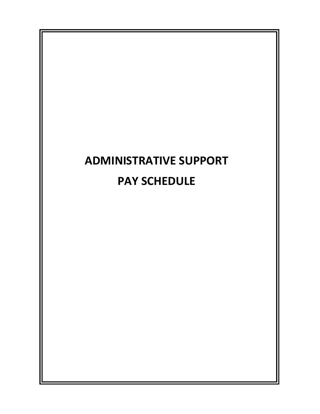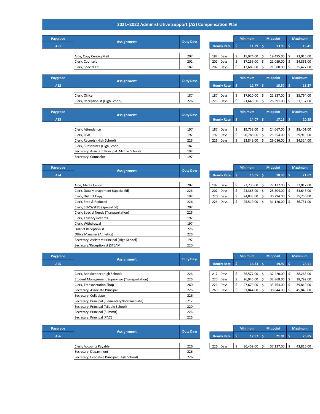#### 2021–2022 Administrative Support (AS) Compensation Plan

| Paygrade |                        | <b>Duty Days</b> |     |                    | <b>Minimum</b> | <b>Midpoint</b> |  |
|----------|------------------------|------------------|-----|--------------------|----------------|-----------------|--|
| AS1      | <b>Assignment</b>      |                  |     | <b>Hourly Rate</b> | 11.39          | $13.90$ \$      |  |
|          |                        |                  |     |                    |                |                 |  |
|          | Aide, Copy Center/Mail | 207              | 187 | Days               | 15,974.00      | 19,495.00       |  |
|          | Clerk, Counselor       | 202              |     | 202<br>Days        | 17,256.00      | 21,059.00       |  |
|          | Clerk, Special Ed      | 187              | 207 | Days               | 17,683.00      | 21,580.00       |  |

|                    |    | <b>Minimum</b> |    | <b>Midpoint</b> |    | <b>Maximum</b> |
|--------------------|----|----------------|----|-----------------|----|----------------|
| <b>Hourly Rate</b> | Ś  | 11.39          |    | 13.90           |    | 16.41          |
|                    |    |                |    |                 |    |                |
| 187<br>Days        | \$ | 15,974.00      |    | 19,495.00       | \$ | 23,015.00      |
| 202<br>Days        | \$ | 17,256.00      | \$ | 21,059.00       | \$ | 24,861.00      |
| Davs<br>207        | ς  | 17,683.00      | ς  | 21,580.00       | Ś  | 25,477.00      |

| Paygrade        | <b>Assignment</b>                 | <b>Duty Days</b> |                    | <b>Minimum</b> |           | <b>Midpoint</b> |                    | <b>Maximum</b> |           |
|-----------------|-----------------------------------|------------------|--------------------|----------------|-----------|-----------------|--------------------|----------------|-----------|
| AS <sub>2</sub> |                                   |                  | <b>Hourly Rate</b> |                | $12.77$ : |                 | 15.57 <sup>5</sup> |                | 18.37     |
|                 |                                   |                  |                    |                |           |                 |                    |                |           |
|                 | Clerk. Office                     | 187              | 187<br>Davs        |                | 17.910.00 |                 | 21.837.00          |                | 25,764.00 |
|                 | Clerk, Receptionist (High School) | 226              | 226<br>Days        |                | 21,645.00 |                 | 26,391.00          |                | 31,137.00 |

| Paygrade | Assignment                                     | <b>Duty Days</b> |     |                    | <b>Minimum</b> |                    | <b>Midpoint</b> |            | <b>Maximum</b> |           |
|----------|------------------------------------------------|------------------|-----|--------------------|----------------|--------------------|-----------------|------------|----------------|-----------|
| AS3      |                                                |                  |     | <b>Hourly Rate</b> |                | 14.07 <sub>5</sub> |                 | $17.16$ \$ |                | 20.25     |
|          |                                                |                  |     |                    |                |                    |                 |            |                |           |
|          | Clerk, Attendance                              | 197              | 187 | Days               |                | 19,733.00          |                 | 24.067.00  |                | 28,401.00 |
|          | Clerk. LPAC                                    | 197              | 197 | Davs               |                | 20,788.00          |                 | 25.354.00  |                | 29,919.00 |
|          | Clerk, Records (High School)                   | 226              |     | 226 Days           |                | 23,849.00          | Ŝ               | 29,086.00  |                | 34,324.00 |
|          | Clerk, Substitutes (High School)               | 187              |     |                    |                |                    |                 |            |                |           |
|          | Secretary, Assistant Principal (Middle School) | 197              |     |                    |                |                    |                 |            |                |           |
|          | Secretary, Counselor                           | 197              |     |                    |                |                    |                 |            |                |           |

| <b>Hourly Rate</b> | 14.07     | 17.16     | 20.25     |
|--------------------|-----------|-----------|-----------|
|                    |           |           |           |
| 187<br>Days        | 19,733.00 | 24,067.00 | 28,401.00 |
| 197<br>Days        | 20,788.00 | 25,354.00 | 29,919.00 |
| 226<br>Days        | 23,849.00 | 29,086.00 | 34,324.00 |
|                    |           |           |           |

187 187 Days 17,910.00 \$ 21,837.00 \$ 25,764.00 \$ 226 226 Days \$ 21,645.00 \$ 26,391.00 \$ 31,137.00

| Paygrade |                                              | <b>Duty Days</b> |  |                    | <b>Minimum</b> |           | <b>Midpoint</b> |                  | <b>Maximum</b> |           |
|----------|----------------------------------------------|------------------|--|--------------------|----------------|-----------|-----------------|------------------|----------------|-----------|
| AS4      | <b>Assignment</b>                            |                  |  | <b>Hourly Rate</b> | .s             | 15.05     | S               | 18.36            |                | 21.67     |
|          |                                              |                  |  |                    |                |           |                 |                  |                |           |
|          | Aide, Media Center                           | 207              |  | 197 Days           | Ś              | 22,236.00 | Ś               | 27,127.00        | Ŝ.             | 32,017.00 |
|          | Clerk, Data Management (Special Ed)          | 226              |  | 207 Days           | Ś              | 23,365.00 | Ś               | 28,504.00        | -Ŝ             | 33,643.00 |
|          | Clerk, District Copy                         | 197              |  | 220 Days           | ς.             | 24,833.00 | S               | 30,294.00        |                | 35,756.00 |
|          | Clerk, Free & Reduced                        | 226              |  | 226 Days           | Ś              | 25,510.00 | -S              | $31,120.00$   \$ |                | 36,731.00 |
|          | Clerk, SEMS/SERS (Special Ed)                | 207              |  |                    |                |           |                 |                  |                |           |
|          | Clerk, Special Needs (Transportation)        | 226              |  |                    |                |           |                 |                  |                |           |
|          | Clerk, Truancy Records                       | 197              |  |                    |                |           |                 |                  |                |           |
|          | Clerk, Withdrawal                            | 197              |  |                    |                |           |                 |                  |                |           |
|          | <b>District Receptionist</b>                 | 226              |  |                    |                |           |                 |                  |                |           |
|          | Office Manager (Athletics)                   | 226              |  |                    |                |           |                 |                  |                |           |
|          | Secretary, Assistant Principal (High School) | 197              |  |                    |                |           |                 |                  |                |           |
|          | Secretary/Receptionist (STEAM)               | 220              |  |                    |                |           |                 |                  |                |           |

| Secretary/Receptionist (STEAM)                 | 220               |                  |   |                                                                    |                |                                                                       |   |                |
|------------------------------------------------|-------------------|------------------|---|--------------------------------------------------------------------|----------------|-----------------------------------------------------------------------|---|----------------|
|                                                |                   |                  |   |                                                                    |                | <b>Midpoint</b>                                                       |   | <b>Maximum</b> |
|                                                |                   |                  | S |                                                                    |                |                                                                       |   | 23.51          |
|                                                |                   |                  |   |                                                                    |                |                                                                       |   |                |
| Clerk, Bookkeeper (High School)                | 226               |                  |   |                                                                    | Ŝ.             | 32,420.00                                                             | S | 38,263.00      |
| Student Management Supervisor (Transportation) | 226               |                  |   |                                                                    | <sub>S</sub>   | 32,868.00                                                             |   | 38,792.00      |
| Clerk, Transportation Shop                     | 260               |                  |   |                                                                    |                | 33,764.00                                                             |   | 39,849.00      |
| Secretary, Associate Principal                 | 226               |                  |   |                                                                    |                | 38,844.00                                                             |   | 45,845.00      |
| Secretary, Collegiate                          | 226               |                  |   |                                                                    |                |                                                                       |   |                |
| Secretary, Principal (Elementary/Intermediate) | 217               |                  |   |                                                                    |                |                                                                       |   |                |
| Secretary, Principal (Middle School)           | 220               |                  |   |                                                                    |                |                                                                       |   |                |
| Secretary, Principal (Summit)                  | 226               |                  |   |                                                                    |                |                                                                       |   |                |
| Secretary, Principal (PACE)                    | 226               |                  |   |                                                                    |                |                                                                       |   |                |
|                                                | <b>Assignment</b> | <b>Duty Days</b> |   | <b>Hourly Rate</b><br>217 Days<br>220 Days<br>226 Days<br>260 Days | <b>Minimum</b> | $16.33$ \$<br>26,577.00<br>26,945.00<br>$27,679.00$   \$<br>31,844.00 |   | $19.92$ \$     |

| Paygrade | <b>Assignment</b>                            | <b>Duty Days</b> |          |                    | <b>Minimum</b> |           | <b>Midpoint</b> |            | <b>Maximum</b> |           |
|----------|----------------------------------------------|------------------|----------|--------------------|----------------|-----------|-----------------|------------|----------------|-----------|
| AS6      |                                              |                  |          | <b>Hourly Rate</b> |                | 17.97     |                 | $21.91$ \$ |                | 25.85     |
|          |                                              |                  |          |                    |                |           |                 |            |                |           |
|          | Clerk, Accounts Payable                      | 226              | 226 Days |                    |                | 30,459.00 |                 | 37,137.00  |                | 43,816.00 |
|          | Secretary, Department                        | 226              |          |                    |                |           |                 |            |                |           |
|          | Secretary, Executive Principal (High School) | 226              |          |                    |                |           |                 |            |                |           |

|                    | <b>Minimum</b> |           |             | <b>Midpoint</b> |     | <b>Maximum</b> |
|--------------------|----------------|-----------|-------------|-----------------|-----|----------------|
| <b>Hourly Rate</b> | s              | 15.05     | 18.36<br>۱Ś |                 | ۱Ś. | 21.67          |
|                    |                |           |             |                 |     |                |
| 197<br>Days        | \$             | 22,236.00 | Ś           | 27,127.00       | Ś   | 32,017.00      |
| 207<br>Days        | \$             | 23,365.00 | \$          | 28.504.00       | \$  | 33.643.00      |
| 220<br>Days        | \$             | 24,833.00 | \$          | 30,294.00       | \$  | 35,756.00      |
| 226<br>Davs        |                | 25 510 00 |             | 31 120 00       |     | 36 731 00      |

|                    |    | <b>Minimum</b> |    | <b>Midpoint</b> |     | <b>Maximum</b> |
|--------------------|----|----------------|----|-----------------|-----|----------------|
| <b>Hourly Rate</b> | s  | 16.33          | -S | 19.92           | '\$ | 23.51          |
|                    |    |                |    |                 |     |                |
| 217<br>Days        | \$ | 26,577.00      | \$ | 32.420.00       | \$  | 38,263.00      |
| 220<br>Days        | \$ | 26.945.00      | \$ | 32,868.00       | \$  | 38.792.00      |
| 226<br>Days        | \$ | 27,679.00      | \$ | 33,764.00       | \$  | 39.849.00      |
| 260<br>Davs        | Ś  | 31.844.00      | Ś  | 38.844.00       | \$  | 45.845.00      |

| y Days |  |                    | <b>Minimum</b> | <b>Midpoint</b> | <b>Maximum</b> |           |  |  |  |
|--------|--|--------------------|----------------|-----------------|----------------|-----------|--|--|--|
|        |  | <b>Hourly Rate</b> | 17.97          | 21.91           |                | 25.85     |  |  |  |
|        |  |                    |                |                 |                |           |  |  |  |
| 226    |  | 226 Davs           | 30,459.00      | 37,137.00       |                | 43,816.00 |  |  |  |
|        |  |                    |                |                 |                |           |  |  |  |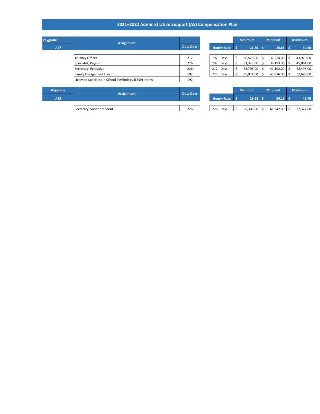#### 2021–2022 Administrative Support (AS) Compensation Plan

| Paygrade | <b>Assignment</b>                                      |                  |                    |    | <b>Minimum</b> |     | <b>Midpoint</b>  | <b>Maximum</b> |
|----------|--------------------------------------------------------|------------------|--------------------|----|----------------|-----|------------------|----------------|
| AS7      |                                                        | <b>Duty Days</b> | <b>Hourly Rate</b> |    | $21.20$ \$     |     | 25.85            | 30.50          |
|          |                                                        |                  |                    |    |                |     |                  |                |
|          | <b>Truancy Officer</b>                                 | 212              | 192 Days           | Ś. | 30,528.00      | S   | 37,224.00        | 43,920.00      |
|          | Specialist, Payroll                                    | 226              | 197<br>Days        | Ś. | 31,323.00      | S   | 38,193.00        | 45,064.00      |
|          | Secretary, Executive                                   | 226              | 212 Days           | Ś  | 33,708.00      | S   | 41,102.00        | 48,495.00      |
|          | <b>Family Engagement Liaison</b>                       | 197              | 226 Days           | Ś  | 35,934.00      | -\$ | $43,816.00$ \ \$ | 51,698.00      |
|          | Licensed Specialist in School Psychology (LSSP) Intern | 192              |                    |    |                |     |                  |                |
|          |                                                        |                  |                    |    |                |     |                  |                |
| Paygrade |                                                        |                  |                    |    | <b>Minimum</b> |     | <b>Midpoint</b>  | <b>Maximum</b> |
| AS8      | <b>Assignment</b>                                      | <b>Duty Days</b> | <b>Hourly Rate</b> |    | 29.68          |     | 36.19            | 42.70          |

|        |     |                    | <b>Minimum</b> |           |      | <b>Midpoint</b> |    | <b>Maximum</b> |
|--------|-----|--------------------|----------------|-----------|------|-----------------|----|----------------|
| y Days |     | <b>Hourly Rate</b> | -\$            | 21.20     | l Si | 25.85           | ŝ  | 30.50          |
|        |     |                    |                |           |      |                 |    |                |
| 212    | 192 | Days               | \$             | 30,528.00 | \$   | 37,224.00       | \$ | 43,920.00      |
| 226    | 197 | Days               | \$             | 31,323.00 | \$   | 38,193.00       | \$ | 45,064.00      |
| 226    | 212 | Days               |                | 33,708.00 | \$   | 41,102.00       | \$ | 48,495.00      |
| 197    | 226 | Days               | \$             | 35,934.00 | \$   | 43,816.00       | \$ | 51,698.00      |
|        |     |                    |                |           |      |                 |    |                |

| Paygrade        | <b>Assignment</b>         | <b>Duty Days</b> |                    | <b>Minimum</b> |           | <b>Midpoint</b> |           | <b>Maximum</b> |           |
|-----------------|---------------------------|------------------|--------------------|----------------|-----------|-----------------|-----------|----------------|-----------|
| AS <sub>8</sub> |                           |                  | <b>Hourly Rate</b> |                | 29.68     |                 | 36.19     |                | 42.70     |
|                 |                           |                  |                    |                |           |                 |           |                |           |
|                 | Secretary, Superintendent | 226              | 226<br>Days        |                | 50,308.00 |                 | 61,342.00 |                | 72,377.00 |

| y Days |                    |      | <b>Minimum</b> | <b>Midpoint</b> | <b>Maximum</b> |
|--------|--------------------|------|----------------|-----------------|----------------|
|        | <b>Hourly Rate</b> |      | 29.68          | 36.19           | 42.70          |
|        |                    |      |                |                 |                |
| 226    | 226                | Davs | 50,308.00      | 61.342.00       | 72.377.00      |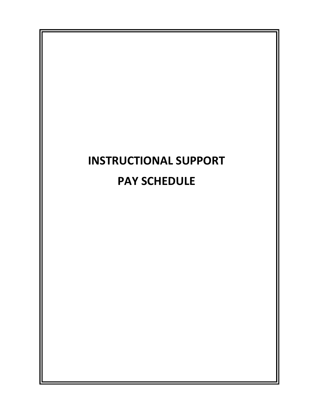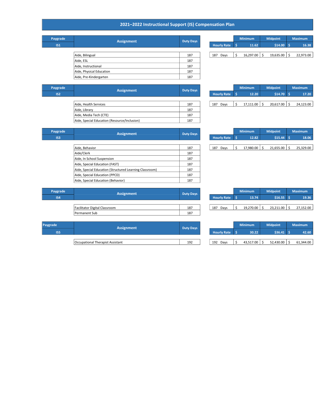#### 2021–2022 Instructional Support (IS) Compensation Plan

| Paygrade        | <b>Assignment</b>        | <b>Duty Days</b> |     |                    | <b>Minimum</b> | <b>Midpoint</b> |             | <b>Maximum</b> |           |
|-----------------|--------------------------|------------------|-----|--------------------|----------------|-----------------|-------------|----------------|-----------|
| IS <sub>1</sub> |                          |                  |     | <b>Hourly Rate</b> | 11.62          |                 | $$14.00$ \$ |                | 16.38     |
|                 |                          |                  |     |                    |                |                 |             |                |           |
|                 | Aide, Bilingual          | 187              | 187 | Days               | $16,297.00$ \$ |                 | 19,635.00   |                | 22,973.00 |
|                 | Aide, ESL                | 187              |     |                    |                |                 |             |                |           |
|                 | Aide, Instructional      | 187              |     |                    |                |                 |             |                |           |
|                 | Aide, Physical Education | 187              |     |                    |                |                 |             |                |           |
|                 | Aide, Pre-Kindergarten   | 187              |     |                    |                |                 |             |                |           |

| y Days |  |                    | <b>Minimum</b> | <b>Midpoint</b> | <b>Maximum</b> |
|--------|--|--------------------|----------------|-----------------|----------------|
|        |  | <b>Hourly Rate</b> | 11.62          | \$14.00         | 16.38          |
|        |  |                    |                |                 |                |
| 187    |  | Davs<br>187        | 16,297.00      | 19,635.00       | 22,973.00      |
| 107    |  |                    |                |                 |                |

| Paygrade        | <b>Assignment</b>                            | <b>Duty Days</b> |     |                    | <b>Minimum</b> |                  | <b>Midpoint</b> |             | <b>Maximum</b> |           |
|-----------------|----------------------------------------------|------------------|-----|--------------------|----------------|------------------|-----------------|-------------|----------------|-----------|
| IS <sub>2</sub> |                                              |                  |     | <b>Hourly Rate</b> |                | 12.20            |                 | $$14.70$ \$ |                | 17.20     |
|                 |                                              |                  |     |                    |                |                  |                 |             |                |           |
|                 | Aide, Health Services                        | 187              | 187 | Days               |                | $17,111.00$   \$ |                 | 20,617.00   |                | 24,123.00 |
|                 | Aide, Library                                | 187              |     |                    |                |                  |                 |             |                |           |
|                 | Aide, Media Tech (CTE)                       | 187              |     |                    |                |                  |                 |             |                |           |
|                 | Aide, Special Education (Resource/Inclusion) | 187              |     |                    |                |                  |                 |             |                |           |

|                    | .         | 11114101111 | .         |           |
|--------------------|-----------|-------------|-----------|-----------|
| <b>Hourly Rate</b> | 12.20     |             | \$14.70   | 17.20     |
|                    |           |             |           |           |
| 187 Days           | 17,111.00 |             | 20,617.00 | 24,123.00 |
|                    |           |             |           |           |

| vgrade          | <b>Assignment</b>                                       | <b>Duty Days</b> |  |                | <b>Minimum</b> | <b>Midpoint</b> | <b>Maximum</b> |
|-----------------|---------------------------------------------------------|------------------|--|----------------|----------------|-----------------|----------------|
| IS <sub>3</sub> |                                                         |                  |  | Hourly Rate \$ | 12.82          | $$15.44$ \$     | 18.06          |
|                 |                                                         |                  |  |                |                |                 |                |
|                 | Aide, Behavior                                          | 187              |  | 187 Days       | 17,980.00      | 21,655.00       | 25,329.00      |
|                 | Aide/Clerk                                              | 187              |  |                |                |                 |                |
|                 | Aide, In School Suspension                              | 187              |  |                |                |                 |                |
|                 | Aide, Special Education (FAST)                          | 187              |  |                |                |                 |                |
|                 | Aide, Special Education (Structured Learning Classroom) | 187              |  |                |                |                 |                |
|                 | Aide, Special Education (PPCD)                          | 187              |  |                |                |                 |                |
|                 | Aide, Special Education (Behavior)                      | 187              |  |                |                |                 |                |
|                 |                                                         |                  |  |                |                |                 |                |

| Paygrade | <b>Assignment</b> | Duty Days |                    | <b>Minimum</b> | <b>Midpoint</b> | <b>Maximum</b> |
|----------|-------------------|-----------|--------------------|----------------|-----------------|----------------|
| IS3      |                   |           | <b>Hourly Rate</b> | 12.82          | \$15.44         | 18.06          |
|          |                   |           |                    |                |                 |                |
|          | Aide, Behavior    | 187       | 187<br>Days        | 17,980.00      | 21,655.00       | 25,329.00      |

| Paygrade   | <b>Assignment</b>             | <b>Duty Days</b> |     |                    | <b>Minimum</b> |           | <b>Midpoint</b> |             | <b>Maximum</b> |
|------------|-------------------------------|------------------|-----|--------------------|----------------|-----------|-----------------|-------------|----------------|
| <b>IS4</b> |                               |                  |     | <b>Hourly Rate</b> |                | 13.74     |                 | $$16.55$ \$ | 19.36          |
|            |                               |                  |     |                    |                |           |                 |             |                |
|            | Facilitator Digital Classroom | 187              | 187 | Davs               |                | 19.270.00 |                 | 23.211.00   | 27,152.00      |
|            | Permanent Sub                 | 187              |     |                    |                |           |                 |             |                |

|                    | <b>Minimum</b> | <b>Midpoint</b> |  | <b>Maximum</b> |
|--------------------|----------------|-----------------|--|----------------|
| <b>Hourly Rate</b> | 13.74          | \$16.55         |  | 19.36          |
|                    |                |                 |  |                |
| Davs<br>187        | 19.270.00      | 23.211.00       |  | 27,152.00      |

| Paygrade   | <b>Assignment</b>                | <b>Duty Days</b> |                    | <b>Minimum</b> |           | <b>Midpoint</b> | <b>Maximum</b> |
|------------|----------------------------------|------------------|--------------------|----------------|-----------|-----------------|----------------|
| <b>IS5</b> |                                  |                  | <b>Hourly Rate</b> |                | 30.22     | \$36.41         | 42.60          |
|            |                                  |                  |                    |                |           |                 |                |
|            | Occupational Therapist Assistant | 192              | 192<br>Davs        |                | 43.517.00 | 52.430.00       | 61.344.00      |

|                    | <b>Minimum</b>   |  | <b>Midpoint</b> | <b>Maximum</b> |
|--------------------|------------------|--|-----------------|----------------|
| <b>Hourly Rate</b> | \$36.41<br>30.22 |  | 42.60           |                |
|                    |                  |  |                 |                |
| 192<br>Davs        | 43,517.00        |  | 52,430.00       | 61,344.00      |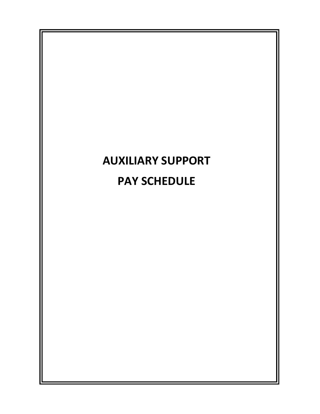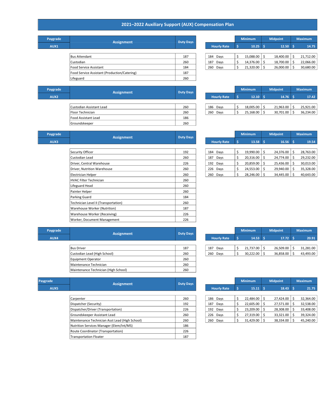## 2021–2022 Auxiliary Support (AUX) Compensation Plan

| Paygrade | <b>Assignment</b>                            | <b>Duty Days</b> |  |     |                    | <b>Minimum</b> | <b>Midpoint</b> |            | <b>Maximum</b> |           |
|----------|----------------------------------------------|------------------|--|-----|--------------------|----------------|-----------------|------------|----------------|-----------|
| AUX1     |                                              |                  |  |     | <b>Hourly Rate</b> | $10.25$ \$     |                 | $12.50$ \$ |                | 14.75     |
|          |                                              |                  |  |     |                    |                |                 |            |                |           |
|          | <b>Bus Attendant</b>                         | 187              |  | 184 | Days               | 15,088.00      |                 | 18,400.00  |                | 21,712.00 |
|          | Custodian                                    | 260              |  | 187 | Days               | 14,376.00      |                 | 18,700.00  |                | 22,066.00 |
|          | Food Service Assistant                       | 184              |  |     | 260 Days           | 21,320.00      |                 | 26,000.00  |                | 30,680.00 |
|          | Food Service Assistant (Production/Catering) | 187              |  |     |                    |                |                 |            |                |           |
|          | Lifeguard                                    | 260              |  |     |                    |                |                 |            |                |           |

|                    | <b>Minimum</b> |    | <b>Midpoint</b> |    | <b>Maximum</b> |
|--------------------|----------------|----|-----------------|----|----------------|
| <b>Hourly Rate</b> | 10.25          | -S | 12.50           | ۱Ś | 14.75          |
|                    |                |    |                 |    |                |
| 184<br>Days        | 15,088.00      | \$ | 18,400.00       | Ś  | 21,712.00      |
| 187<br>Days        | 14,376.00      | \$ | 18,700.00       | \$ | 22,066.00      |
| 260<br>Days        | 21,320.00      | \$ | 26,000.00       | \$ | 30,680.00      |

| Paygrade         | Assignment               | <b>Duty Days</b> |  |          |                    | <b>Minimum</b> | <b>Midpoint</b> |                  |  | <b>Maximum</b> |  |
|------------------|--------------------------|------------------|--|----------|--------------------|----------------|-----------------|------------------|--|----------------|--|
| AUX <sub>2</sub> |                          |                  |  |          | <b>Hourly Rate</b> | $12.10 \,$ \$  |                 | $14.76$ \$       |  | 17.42          |  |
|                  |                          |                  |  |          |                    |                |                 |                  |  |                |  |
|                  | Custodian Assistant Lead | 260              |  | 186 Days |                    | 18,005.00      |                 | 21,963.00        |  | 25,921.00      |  |
|                  | <b>Floor Technician</b>  | 260              |  | 260 Days |                    | 25,168.00      | .s              | $30,701.00$   \$ |  | 36,234.00      |  |
|                  | Food Assistant Lead      | 186              |  |          |                    |                |                 |                  |  |                |  |
|                  | <b>Groundskeeper</b>     | 260              |  |          |                    |                |                 |                  |  |                |  |

|           |                | <b>Midpoint</b> | <b>Maximum</b> |
|-----------|----------------|-----------------|----------------|
| 12.10     |                | 14.76           | 17.42          |
|           |                |                 |                |
| 18,005.00 |                | 21,963.00       | 25,921.00      |
| 25,168.00 |                | 30,701.00       | 36,234.00      |
|           | <b>Minimum</b> |                 |                |

| Paygrade |                                      |                  |     |                    |    | <b>Minimum</b> |    | <b>Midpoint</b>  |    | <b>Maximum</b> |
|----------|--------------------------------------|------------------|-----|--------------------|----|----------------|----|------------------|----|----------------|
|          | <b>Assignment</b>                    | <b>Duty Days</b> |     |                    |    |                |    |                  |    |                |
| AUX3     |                                      |                  |     | <b>Hourly Rate</b> |    | 13.58          | -S | 16.56            |    | 19.54          |
|          |                                      |                  |     |                    |    |                |    |                  |    |                |
|          | Security Officer                     | 192              |     | 184 Days           | \$ | 19,990.00      | \$ | $24,376.00$ \$   |    | 28,763.00      |
|          | Custodian Lead                       | 260              | 187 | Days               | \$ | 20,316.00      | Ŝ. | $24,774.00$   \$ |    | 29,232.00      |
|          | Driver, Central Warehouse            | 226              |     | 192 Days           | \$ | 20,859.00      | Ŝ. | 25,436.00 \$     |    | 30,013.00      |
|          | Driver, Nutrition Warehouse          | 260              |     | 226 Days           | \$ | 24,553.00      | Ŝ. | 29,940.00        | -Ś | 35,328.00      |
|          | <b>Electrician Helper</b>            | 260              |     | 260 Days           | Ś. | 28,246.00      | \$ | $34,445.00$   \$ |    | 40,643.00      |
|          | <b>HVAC Filter Technician</b>        | 260              |     |                    |    |                |    |                  |    |                |
|          | Lifeguard Head                       | 260              |     |                    |    |                |    |                  |    |                |
|          | Painter Helper                       | 260              |     |                    |    |                |    |                  |    |                |
|          | <b>Parking Guard</b>                 | 184              |     |                    |    |                |    |                  |    |                |
|          | Technician Level II (Transportation) | 260              |     |                    |    |                |    |                  |    |                |
|          | Warehouse Worker (Nutrition)         | 187              |     |                    |    |                |    |                  |    |                |
|          | Warehouse Worker (Receiving)         | 226              |     |                    |    |                |    |                  |    |                |
|          | Worker, Document Management          | 226              |     |                    |    |                |    |                  |    |                |

|                    |    | <b>Minimum</b> |    | <b>Midpoint</b> |     | <b>Maximum</b> |
|--------------------|----|----------------|----|-----------------|-----|----------------|
| <b>Hourly Rate</b> | S  | 13.58          | Ŝ  | 16.56           | -\$ | 19.54          |
|                    |    |                |    |                 |     |                |
| 184<br>Days        | \$ | 19,990.00      | \$ | 24,376.00       | \$  | 28,763.00      |
| 187<br>Days        | Ś  | 20,316.00      | \$ | 24.774.00       | \$  | 29,232.00      |
| 192<br>Days        | \$ | 20,859.00      | \$ | 25,436.00       | \$  | 30,013.00      |
| 226<br>Days        | \$ | 24,553.00      | \$ | 29,940.00       | \$  | 35,328.00      |
| 260.<br>Davs       | ς  | 28 246 00      |    | 34 445 00       | ς   | 40 643 00      |

| Paygrade | <b>Assignment</b>                    | <b>Duty Days</b> |  |     |                    | <b>Minimum</b> | <b>Midpoint</b> |               | <b>Maximum</b> |           |
|----------|--------------------------------------|------------------|--|-----|--------------------|----------------|-----------------|---------------|----------------|-----------|
| AUX4     |                                      |                  |  |     | <b>Hourly Rate</b> | $14.53$ \$     |                 | $17.72 \,$ \$ |                | 20.91     |
|          |                                      |                  |  |     |                    |                |                 |               |                |           |
|          | <b>Bus Driver</b>                    | 187              |  | 187 | Days               | $21,737.00$ \$ |                 | 26,509.00     |                | 31,281.00 |
|          | Custodian Lead (High School)         | 260              |  |     | 260 Days           | $30,222.00$ \$ |                 | 36,858.00     |                | 43,493.00 |
|          | Equipment Operator                   | 260              |  |     |                    |                |                 |               |                |           |
|          | Maintenance Technician               | 260              |  |     |                    |                |                 |               |                |           |
|          | Maintenance Technician (High School) | 260              |  |     |                    |                |                 |               |                |           |

| ty Days |  |     |                    | <b>Minimum</b> | <b>Midpoint</b> | <b>Maximum</b> |           |  |  |
|---------|--|-----|--------------------|----------------|-----------------|----------------|-----------|--|--|
|         |  |     | <b>Hourly Rate</b> | 14.53          | 17.72           |                | 20.91     |  |  |
|         |  |     |                    |                |                 |                |           |  |  |
| 187     |  | 187 | Davs               | 21,737.00      | 26,509.00       |                | 31,281.00 |  |  |
| 260     |  | 260 | Davs               | 30.222.00      | 36,858.00       |                | 43,493.00 |  |  |
|         |  |     |                    |                |                 |                |           |  |  |

| Paygrade | <b>Assignment</b>                              | <b>Duty Days</b> |  |                    | <b>Minimum</b> |                  | <b>Midpoint</b> |                  | <b>Maximum</b> |           |
|----------|------------------------------------------------|------------------|--|--------------------|----------------|------------------|-----------------|------------------|----------------|-----------|
| AUX5     |                                                |                  |  | <b>Hourly Rate</b> |                | $15.11$ \$       |                 | $18.43 \quad$ \$ |                | 21.75     |
|          |                                                |                  |  |                    |                |                  |                 |                  |                |           |
|          | Carpenter                                      | 260              |  | 186 Days           |                | 22,484.00        |                 | 27,424.00        |                | 32,364.00 |
|          | Dispatcher (Security)                          | 192              |  | 187<br>Days        |                | 22,605.00        |                 | 27,571.00        |                | 32,538.00 |
|          | Dispatcher/Driver (Transportation)             | 226              |  | 192 Days           |                | 23,209.00        |                 | 28,308.00        |                | 33,408.00 |
|          | Groundskeeper Assistant Lead                   | 260              |  | 226 Days           |                | 27,319.00        | S               | 33,321.00        |                | 39,324.00 |
|          | Maintenance Technician Asst Lead (High School) | 260              |  | 260 Days           |                | $31,429.00$   \$ |                 | $38,334.00$   \$ |                | 45,240.00 |
|          | Nutrition Services Manager (Elem/Int/MS)       | 186              |  |                    |                |                  |                 |                  |                |           |
|          | Route Coordinator (Transportation)             | 226              |  |                    |                |                  |                 |                  |                |           |
|          | <b>Transportation Floater</b>                  | 187              |  |                    |                |                  |                 |                  |                |           |

|                    |    | <b>Minimum</b> |    | <b>Midpoint</b> |    | <b>Maximum</b> |
|--------------------|----|----------------|----|-----------------|----|----------------|
| <b>Hourly Rate</b> | S  | 15.11          | -Ś | 18.43           | ۱Ś | 21.75          |
|                    |    |                |    |                 |    |                |
| 186<br>Days        | \$ | 22,484.00      | \$ | 27,424.00       | \$ | 32,364.00      |
| Days<br>187        | \$ | 22,605.00      | \$ | 27,571.00       | \$ | 32,538.00      |
| Days<br>192        | \$ | 23,209.00      | \$ | 28,308.00       | \$ | 33,408.00      |
| 226<br>Days        | \$ | 27,319.00      | \$ | 33,321.00       | \$ | 39,324.00      |
| 260<br>Days        | ς  | 31.429.00      | \$ | 38,334.00       | Ś  | 45.240.00      |